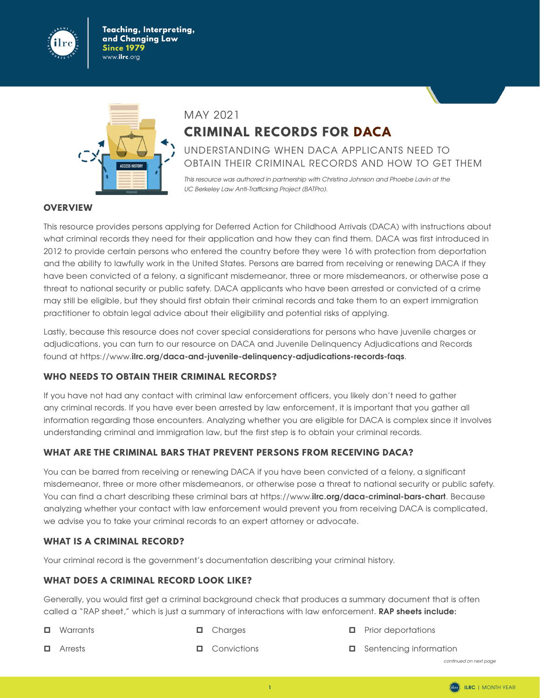

Teaching, Interpreting, and Changing Law Since 1979 www.**ilrc**.org



# MAY 2021 **CRIMINAL RECORDS FOR DACA**

UNDERSTANDING WHEN DACA APPLICANTS NEED TO OBTAIN THEIR CRIMINAL RECORDS AND HOW TO GET THEM

*This resource was authored in partnership with Christina Johnson and Phoebe Lavin at the*  UC Berkeley Law Anti-Trafficking Project (BATPro).

#### **OVERVIEW**

This resource provides persons applying for Deferred Action for Childhood Arrivals (DACA) with instructions about what criminal records they need for their application and how they can find them. DACA was first introduced in 2012 to provide certain persons who entered the country before they were 16 with protection from deportation and the ability to lawfully work in the United States. Persons are barred from receiving or renewing DACA if they have been convicted of a felony, a significant misdemeanor, three or more misdemeanors, or otherwise pose a threat to national security or public safety. DACA applicants who have been arrested or convicted of a crime may still be eligible, but they should first obtain their criminal records and take them to an expert immigration practitioner to obtain legal advice about their eligibility and potential risks of applying.

Lastly, because this resource does not cover special considerations for persons who have juvenile charges or adjudications, you can turn to our resource on DACA and Juvenile Delinquency Adjudications and Records found at https://www.**[ilrc.org/daca-and-juvenile-delinquency-adjudications-records-faqs](https://www.ilrc.org/daca-and-juvenile-delinquency-adjudications-records-faqs)**.

#### **WHO NEEDS TO OBTAIN THEIR CRIMINAL RECORDS?**

If you have not had any contact with criminal law enforcement officers, you likely don't need to gather any criminal records. If you have ever been arrested by law enforcement, it is important that you gather all information regarding those encounters. Analyzing whether you are eligible for DACA is complex since it involves understanding criminal and immigration law, but the first step is to obtain your criminal records.

#### **WHAT ARE THE CRIMINAL BARS THAT PREVENT PERSONS FROM RECEIVING DACA?**

You can be barred from receiving or renewing DACA if you have been convicted of a felony, a significant misdemeanor, three or more other misdemeanors, or otherwise pose a threat to national security or public safety. You can find a chart describing these criminal bars at https://www.**[ilrc.org/daca-criminal-bars-chart](https://www.ilrc.org/daca-criminal-bars-chart)**. Because analyzing whether your contact with law enforcement would prevent you from receiving DACA is complicated, we advise you to take your criminal records to an expert attorney or advocate.

#### **WHAT IS A CRIMINAL RECORD?**

Your criminal record is the government's documentation describing your criminal history.

#### **WHAT DOES A CRIMINAL RECORD LOOK LIKE?**

Generally, you would first get a criminal background check that produces a summary document that is often called a "RAP sheet," which is just a summary of interactions with law enforcement. **RAP sheets include:**

**D** Warrants

 $\Box$  Charges

 $\Box$  Prior deportations

**D** Arrests

 $\Box$  Convictions

Sentencing information

*continued on next page*

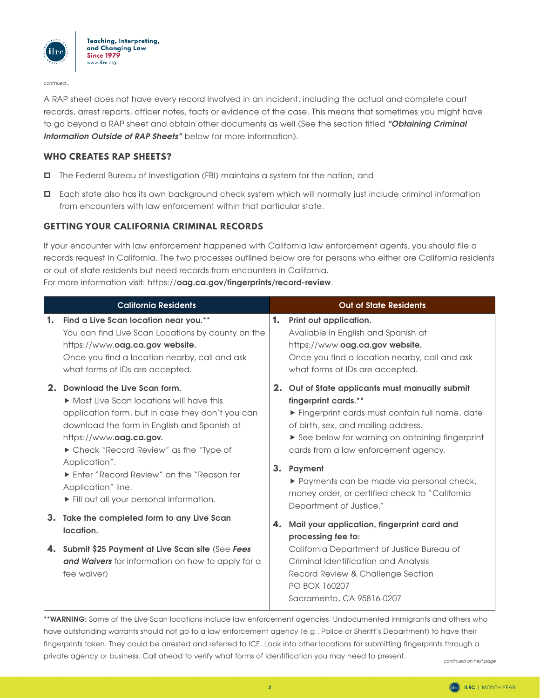

continued...

A RAP sheet does not have every record involved in an incident, including the actual and complete court records, arrest reports, officer notes, facts or evidence of the case. This means that sometimes you might have to go beyond a RAP sheet and obtain other documents as well (See the section titled *"Obtaining Criminal Information Outside of RAP Sheets"* below for more information).

#### **WHO CREATES RAP SHEETS?**

- The Federal Bureau of Investigation (FBI) maintains a system for the nation; and
- Each state also has its own background check system which will normally just include criminal information from encounters with law enforcement within that particular state.

#### **GETTING YOUR CALIFORNIA CRIMINAL RECORDS**

If your encounter with law enforcement happened with California law enforcement agents, you should file a records request in California. The two processes outlined below are for persons who either are California residents or out-of-state residents but need records from encounters in California.

For more information visit: https://**[oag.ca.gov/fingerprints/record-review](https://oag.ca.gov/fingerprints/record-review)**.

|    | <b>California Residents</b>                                                                                                                                                                                                                                                                                                                                                       |    | <b>Out of State Residents</b>                                                                                                                                                                                                                                                                                                                                                                        |
|----|-----------------------------------------------------------------------------------------------------------------------------------------------------------------------------------------------------------------------------------------------------------------------------------------------------------------------------------------------------------------------------------|----|------------------------------------------------------------------------------------------------------------------------------------------------------------------------------------------------------------------------------------------------------------------------------------------------------------------------------------------------------------------------------------------------------|
| 1. | Find a Live Scan location near you.**<br>You can find Live Scan Locations by county on the<br>https://www.oag.ca.gov website.<br>Once you find a location nearby, call and ask<br>what forms of IDs are accepted.                                                                                                                                                                 | 1. | Print out application.<br>Available in English and Spanish at<br>https://www.oag.ca.gov website.<br>Once you find a location nearby, call and ask<br>what forms of IDs are accepted.                                                                                                                                                                                                                 |
|    | 2. Download the Live Scan form.<br>• Most Live Scan locations will have this<br>application form, but in case they don't you can<br>download the form in English and Spanish at<br>https://www.oag.ca.gov.<br>Check "Record Review" as the "Type of<br>Application".<br>Enter "Record Review" on the "Reason for<br>Application" line.<br>Fill out all your personal information. |    | 2. Out of State applicants must manually submit<br>fingerprint cards.**<br>Fingerprint cards must contain full name, date<br>of birth, sex, and mailing address.<br>See below for warning on obtaining fingerprint<br>cards from a law enforcement agency.<br>3. Payment<br>▶ Payments can be made via personal check,<br>money order, or certified check to "California"<br>Department of Justice." |
|    | 3. Take the completed form to any Live Scan<br>location.                                                                                                                                                                                                                                                                                                                          | 4. | Mail your application, fingerprint card and<br>processing fee to:                                                                                                                                                                                                                                                                                                                                    |
|    | 4. Submit \$25 Payment at Live Scan site (See Fees<br>and Waivers for information on how to apply for a<br>fee waiver)                                                                                                                                                                                                                                                            |    | California Department of Justice Bureau of<br>Criminal Identification and Analysis<br>Record Review & Challenge Section<br>PO BOX 160207<br>Sacramento, CA 95816-0207                                                                                                                                                                                                                                |

**\*\*WARNING:** Some of the Live Scan locations include law enforcement agencies. Undocumented immigrants and others who have outstanding warrants should not go to a law enforcement agency (e.g., Police or Sheriff's Department) to have their fingerprints taken. They could be arrested and referred to ICE. Look into other locations for submitting fingerprints through a private agency or business. Call ahead to verify what forms of identification you may need to present.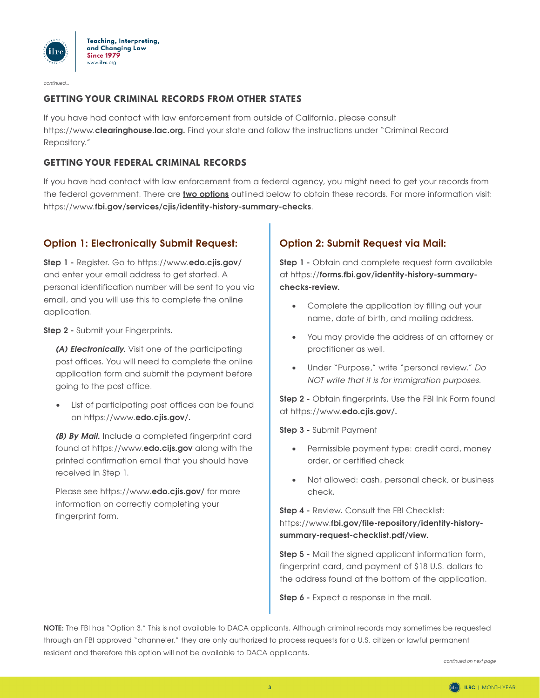

continued...

### **GETTING YOUR CRIMINAL RECORDS FROM OTHER STATES**

If you have had contact with law enforcement from outside of California, please consult https://www.**[clearinghouse.lac.org.](https://www.clearinghouse.lac.org)** Find your state and follow the instructions under "Criminal Record Repository."

#### **GETTING YOUR FEDERAL CRIMINAL RECORDS**

If you have had contact with law enforcement from a federal agency, you might need to get your records from the federal government. There are **two options** outlined below to obtain these records. For more information visit: https://www.**[fbi.gov/services/cjis/identity-history-summary-checks](https://www.fbi.gov/services/cjis/identity-history-summary-checks)**.

# **Option 1: Electronically Submit Request:**

**Step 1 -** Register. Go to https://www.**[edo.cjis.gov/](https://www.edo.cjis.gov/)** and enter your email address to get started. A personal identification number will be sent to you via email, and you will use this to complete the online application.

**Step 2 -** Submit your Fingerprints.

*(A) Electronically.* Visit one of the participating post offices. You will need to complete the online application form and submit the payment before going to the post office.

• List of participating post offices can be found on https://www.**[edo.cjis.gov/.](https://www.edo.cjis.gov/)** 

*(B) By Mail.* Include a completed fingerprint card found at [https://www.](https://www.edo.cijs.gov)**edo.cijs.gov** along with the printed confirmation email that you should have received in Step 1.

Please see https://www.**[edo.cjis.gov/](https://www.edo.cjis.gov/)** for more information on correctly completing your fingerprint form.

# **Option 2: Submit Request via Mail:**

**Step 1 -** Obtain and complete request form available at https://**[forms.fbi.gov/identity-history-summary](https://forms.fbi.gov/identity-history-summary-checks-review)[checks-review.](https://forms.fbi.gov/identity-history-summary-checks-review)**

- Complete the application by filling out your name, date of birth, and mailing address.
- You may provide the address of an attorney or practitioner as well.
- Under "Purpose," write "personal review." *Do NOT write that it is for immigration purposes).*

**Step 2 -** Obtain fingerprints. Use the FBI Ink Form found at https://www.**[edo.cjis.gov/.](https://www.edo.cjis.gov/)**

**Step 3 -** Submit Payment

- Permissible payment type: credit card, money order, or certified check
- Not allowed: cash, personal check, or business check.

**Step 4 -** Review. Consult the FBI Checklist: https://www.**[fbi.gov/file-repository/identity-history](https://www.fbi.gov/file-repository/identity-history-summary-request-checklist.pdf/view)[summary-request-checklist.pdf/view.](https://www.fbi.gov/file-repository/identity-history-summary-request-checklist.pdf/view)**

**Step 5 -** Mail the signed applicant information form, fingerprint card, and payment of \$18 U.S. dollars to the address found at the bottom of the application.

**Step 6 -** Expect a response in the mail.

**NOTE:** The FBI has "Option 3." This is not available to DACA applicants. Although criminal records may sometimes be requested through an FBI approved "channeler," they are only authorized to process requests for a U.S. citizen or lawful permanent resident and therefore this option will not be available to DACA applicants.

*continued on next page*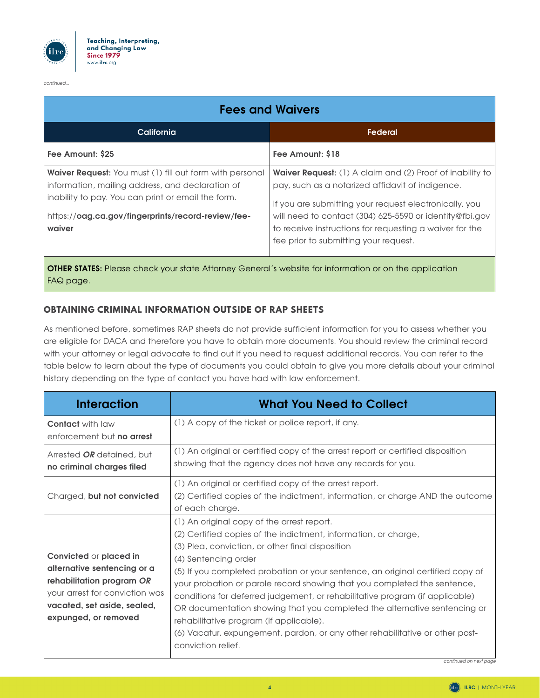

*continued).).).*

| <b>Fees and Waivers</b>                                                                                                                                                                                                            |                                                                                                                                                                                                                                                                                                                                        |  |  |  |
|------------------------------------------------------------------------------------------------------------------------------------------------------------------------------------------------------------------------------------|----------------------------------------------------------------------------------------------------------------------------------------------------------------------------------------------------------------------------------------------------------------------------------------------------------------------------------------|--|--|--|
| California                                                                                                                                                                                                                         | <b>Federal</b>                                                                                                                                                                                                                                                                                                                         |  |  |  |
| Fee Amount: \$25                                                                                                                                                                                                                   | Fee Amount: \$18                                                                                                                                                                                                                                                                                                                       |  |  |  |
| Waiver Request: You must (1) fill out form with personal<br>information, mailing address, and declaration of<br>inability to pay. You can print or email the form.<br>https://oag.ca.gov/fingerprints/record-review/fee-<br>waiver | Waiver Request: (1) A claim and (2) Proof of inability to<br>pay, such as a notarized affidavit of indigence.<br>If you are submitting your request electronically, you<br>will need to contact (304) 625-5590 or identity@fbi.gov<br>to receive instructions for requesting a waiver for the<br>fee prior to submitting your request. |  |  |  |
| <b>OTHER STATES:</b> Please check your state Attorney General's website for information or on the application                                                                                                                      |                                                                                                                                                                                                                                                                                                                                        |  |  |  |

FAQ page.

## **OBTAINING CRIMINAL INFORMATION OUTSIDE OF RAP SHEETS**

As mentioned before, sometimes RAP sheets do not provide sufficient information for you to assess whether you are eligible for DACA and therefore you have to obtain more documents. You should review the criminal record with your attorney or legal advocate to find out if you need to request additional records. You can refer to the table below to learn about the type of documents you could obtain to give you more details about your criminal history depending on the type of contact you have had with law enforcement.

| <b>Interaction</b>                                                                                                                                                                 | <b>What You Need to Collect</b>                                                                                                                                                                                                                                                                                                                                                                                                                                                                                                                                                                                                                                       |
|------------------------------------------------------------------------------------------------------------------------------------------------------------------------------------|-----------------------------------------------------------------------------------------------------------------------------------------------------------------------------------------------------------------------------------------------------------------------------------------------------------------------------------------------------------------------------------------------------------------------------------------------------------------------------------------------------------------------------------------------------------------------------------------------------------------------------------------------------------------------|
| <b>Contact</b> with law<br>enforcement but no arrest                                                                                                                               | (1) A copy of the ticket or police report, if any.                                                                                                                                                                                                                                                                                                                                                                                                                                                                                                                                                                                                                    |
| Arrested <b>OR</b> detained, but<br>no criminal charges filed                                                                                                                      | (1) An original or certified copy of the arrest report or certified disposition<br>showing that the agency does not have any records for you.                                                                                                                                                                                                                                                                                                                                                                                                                                                                                                                         |
| Charged, but not convicted                                                                                                                                                         | (1) An original or certified copy of the arrest report.<br>(2) Certified copies of the indictment, information, or charge AND the outcome<br>of each charge.                                                                                                                                                                                                                                                                                                                                                                                                                                                                                                          |
| <b>Convicted or placed in</b><br>alternative sentencing or a<br>rehabilitation program OR<br>your arrest for conviction was<br>vacated, set aside, sealed,<br>expunged, or removed | (1) An original copy of the arrest report.<br>(2) Certified copies of the indictment, information, or charge,<br>(3) Plea, conviction, or other final disposition<br>(4) Sentencing order<br>(5) If you completed probation or your sentence, an original certified copy of<br>your probation or parole record showing that you completed the sentence,<br>conditions for deferred judgement, or rehabilitative program (if applicable)<br>OR documentation showing that you completed the alternative sentencing or<br>rehabilitative program (if applicable).<br>(6) Vacatur, expungement, pardon, or any other rehabilitative or other post-<br>conviction relief. |

*continued on next page*